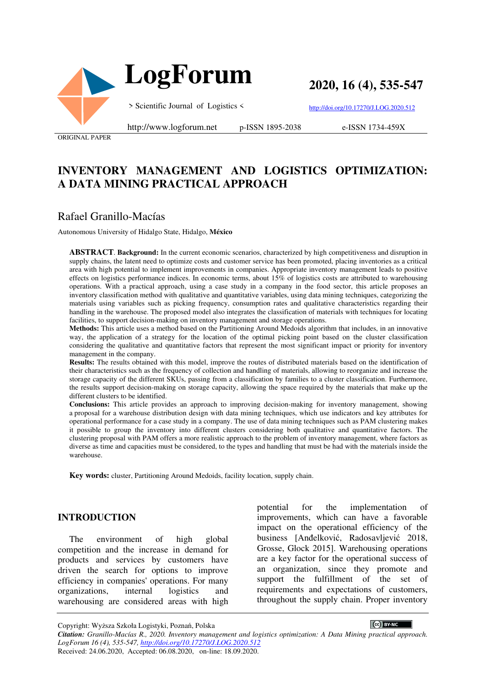



**2020, 16 (4), 535-547**

> Scientific Journal of Logistics <

http://www.logforum.net p-ISSN 1895-2038

http://doi.org/10.17270/J.LOG.2020.512

e-ISSN 1734-459X

ORIGINAL PAPER

# **INVENTORY MANAGEMENT AND LOGISTICS OPTIMIZATION: A DATA MINING PRACTICAL APPROACH**

# Rafael Granillo-Macías

Autonomous University of Hidalgo State, Hidalgo, **México** 

**ABSTRACT**. **Background:** In the current economic scenarios, characterized by high competitiveness and disruption in supply chains, the latent need to optimize costs and customer service has been promoted, placing inventories as a critical area with high potential to implement improvements in companies. Appropriate inventory management leads to positive effects on logistics performance indices. In economic terms, about 15% of logistics costs are attributed to warehousing operations. With a practical approach, using a case study in a company in the food sector, this article proposes an inventory classification method with qualitative and quantitative variables, using data mining techniques, categorizing the materials using variables such as picking frequency, consumption rates and qualitative characteristics regarding their handling in the warehouse. The proposed model also integrates the classification of materials with techniques for locating facilities, to support decision-making on inventory management and storage operations.

**Methods:** This article uses a method based on the Partitioning Around Medoids algorithm that includes, in an innovative way, the application of a strategy for the location of the optimal picking point based on the cluster classification considering the qualitative and quantitative factors that represent the most significant impact or priority for inventory management in the company.

**Results:** The results obtained with this model, improve the routes of distributed materials based on the identification of their characteristics such as the frequency of collection and handling of materials, allowing to reorganize and increase the storage capacity of the different SKUs, passing from a classification by families to a cluster classification. Furthermore, the results support decision-making on storage capacity, allowing the space required by the materials that make up the different clusters to be identified.

**Conclusions:** This article provides an approach to improving decision-making for inventory management, showing a proposal for a warehouse distribution design with data mining techniques, which use indicators and key attributes for operational performance for a case study in a company. The use of data mining techniques such as PAM clustering makes it possible to group the inventory into different clusters considering both qualitative and quantitative factors. The clustering proposal with PAM offers a more realistic approach to the problem of inventory management, where factors as diverse as time and capacities must be considered, to the types and handling that must be had with the materials inside the warehouse.

**Key words:** cluster, Partitioning Around Medoids, facility location, supply chain.

#### **INTRODUCTION**

The environment of high global competition and the increase in demand for products and services by customers have driven the search for options to improve efficiency in companies' operations. For many organizations, internal logistics and warehousing are considered areas with high potential for the implementation of improvements, which can have a favorable impact on the operational efficiency of the business [Anđelković, Radosavljević 2018, Grosse, Glock 2015]. Warehousing operations are a key factor for the operational success of an organization, since they promote and support the fulfillment of the set of requirements and expectations of customers, throughout the supply chain. Proper inventory

CC BY-NC Copyright: Wyższa Szkoła Logistyki, Poznań, Polska *Citation: Granillo-Macías R., 2020. Inventory management and logistics optimization: A Data Mining practical approach. LogForum 16 (4), 535-547, http://doi.org/10.17270/J.LOG.2020.512*  Received: 24.06.2020, Accepted: 06.08.2020, on-line: 18.09.2020.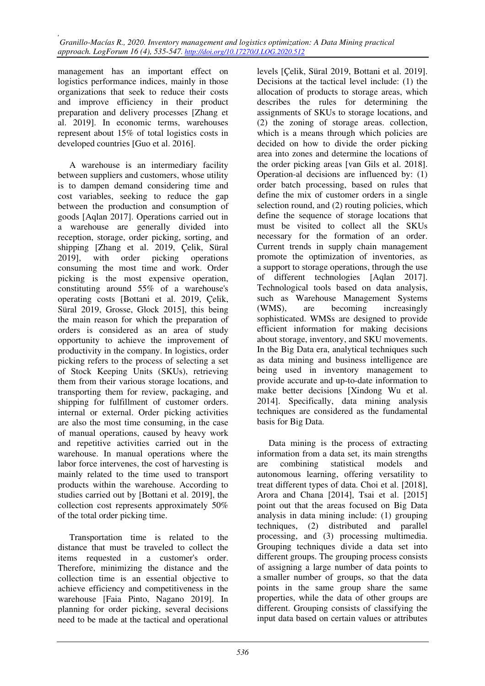management has an important effect on logistics performance indices, mainly in those organizations that seek to reduce their costs and improve efficiency in their product preparation and delivery processes [Zhang et al. 2019]. In economic terms, warehouses represent about 15% of total logistics costs in developed countries [Guo et al. 2016].

A warehouse is an intermediary facility between suppliers and customers, whose utility is to dampen demand considering time and cost variables, seeking to reduce the gap between the production and consumption of goods [Aqlan 2017]. Operations carried out in a warehouse are generally divided into reception, storage, order picking, sorting, and shipping [Zhang et al. 2019, Çelik, Süral 2019], with order picking operations consuming the most time and work. Order picking is the most expensive operation, constituting around 55% of a warehouse's operating costs [Bottani et al. 2019, Çelik, Süral 2019, Grosse, Glock 2015], this being the main reason for which the preparation of orders is considered as an area of study opportunity to achieve the improvement of productivity in the company. In logistics, order picking refers to the process of selecting a set of Stock Keeping Units (SKUs), retrieving them from their various storage locations, and transporting them for review, packaging, and shipping for fulfillment of customer orders. internal or external. Order picking activities are also the most time consuming, in the case of manual operations, caused by heavy work and repetitive activities carried out in the warehouse. In manual operations where the labor force intervenes, the cost of harvesting is mainly related to the time used to transport products within the warehouse. According to studies carried out by [Bottani et al. 2019], the collection cost represents approximately 50% of the total order picking time.

Transportation time is related to the distance that must be traveled to collect the items requested in a customer's order. Therefore, minimizing the distance and the collection time is an essential objective to achieve efficiency and competitiveness in the warehouse [Faia Pinto, Nagano 2019]. In planning for order picking, several decisions need to be made at the tactical and operational

levels [Çelik, Süral 2019, Bottani et al. 2019]. Decisions at the tactical level include: (1) the allocation of products to storage areas, which describes the rules for determining the assignments of SKUs to storage locations, and (2) the zoning of storage areas. collection, which is a means through which policies are decided on how to divide the order picking area into zones and determine the locations of the order picking areas [van Gils et al. 2018]. Operation-al decisions are influenced by: (1) order batch processing, based on rules that define the mix of customer orders in a single selection round, and (2) routing policies, which define the sequence of storage locations that must be visited to collect all the SKUs necessary for the formation of an order. Current trends in supply chain management promote the optimization of inventories, as a support to storage operations, through the use of different technologies [Aqlan 2017]. Technological tools based on data analysis, such as Warehouse Management Systems (WMS), are becoming increasingly sophisticated. WMSs are designed to provide efficient information for making decisions about storage, inventory, and SKU movements. In the Big Data era, analytical techniques such as data mining and business intelligence are being used in inventory management to provide accurate and up-to-date information to make better decisions [Xindong Wu et al. 2014]. Specifically, data mining analysis techniques are considered as the fundamental basis for Big Data.

Data mining is the process of extracting information from a data set, its main strengths are combining statistical models and autonomous learning, offering versatility to treat different types of data. Choi et al. [2018], Arora and Chana [2014], Tsai et al. [2015] point out that the areas focused on Big Data analysis in data mining include: (1) grouping techniques, (2) distributed and parallel processing, and (3) processing multimedia. Grouping techniques divide a data set into different groups. The grouping process consists of assigning a large number of data points to a smaller number of groups, so that the data points in the same group share the same properties, while the data of other groups are different. Grouping consists of classifying the input data based on certain values or attributes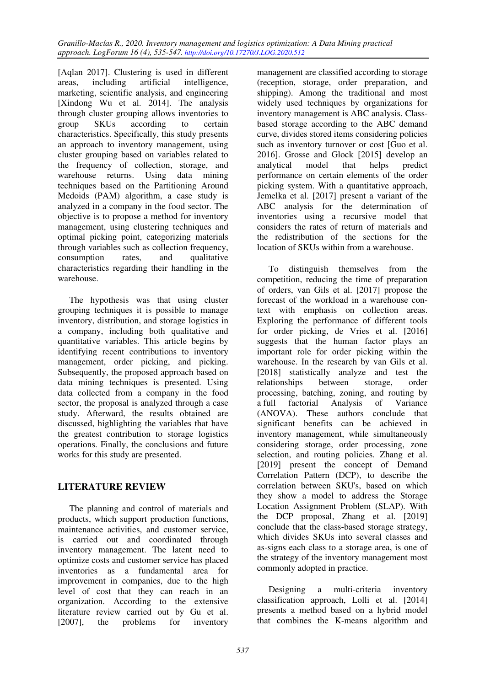[Aqlan 2017]. Clustering is used in different areas, including artificial intelligence, marketing, scientific analysis, and engineering [Xindong Wu et al. 2014]. The analysis through cluster grouping allows inventories to group SKUs according to certain characteristics. Specifically, this study presents an approach to inventory management, using cluster grouping based on variables related to the frequency of collection, storage, and warehouse returns. Using data mining techniques based on the Partitioning Around Medoids (PAM) algorithm, a case study is analyzed in a company in the food sector. The objective is to propose a method for inventory management, using clustering techniques and optimal picking point, categorizing materials through variables such as collection frequency, consumption rates, and qualitative characteristics regarding their handling in the warehouse.

The hypothesis was that using cluster grouping techniques it is possible to manage inventory, distribution, and storage logistics in a company, including both qualitative and quantitative variables. This article begins by identifying recent contributions to inventory management, order picking, and picking. Subsequently, the proposed approach based on data mining techniques is presented. Using data collected from a company in the food sector, the proposal is analyzed through a case study. Afterward, the results obtained are discussed, highlighting the variables that have the greatest contribution to storage logistics operations. Finally, the conclusions and future works for this study are presented.

# **LITERATURE REVIEW**

The planning and control of materials and products, which support production functions, maintenance activities, and customer service, is carried out and coordinated through inventory management. The latent need to optimize costs and customer service has placed inventories as a fundamental area for improvement in companies, due to the high level of cost that they can reach in an organization. According to the extensive literature review carried out by Gu et al. [2007], the problems for inventory

management are classified according to storage (reception, storage, order preparation, and shipping). Among the traditional and most widely used techniques by organizations for inventory management is ABC analysis. Classbased storage according to the ABC demand curve, divides stored items considering policies such as inventory turnover or cost [Guo et al. 2016]. Grosse and Glock [2015] develop an analytical model that helps predict performance on certain elements of the order picking system. With a quantitative approach, Jemelka et al. [2017] present a variant of the ABC analysis for the determination of inventories using a recursive model that considers the rates of return of materials and the redistribution of the sections for the location of SKUs within from a warehouse.

To distinguish themselves from the competition, reducing the time of preparation of orders, van Gils et al. [2017] propose the forecast of the workload in a warehouse context with emphasis on collection areas. Exploring the performance of different tools for order picking, de Vries et al. [2016] suggests that the human factor plays an important role for order picking within the warehouse. In the research by van Gils et al. [2018] statistically analyze and test the relationships between storage, order processing, batching, zoning, and routing by a full factorial Analysis of Variance (ANOVA). These authors conclude that significant benefits can be achieved in inventory management, while simultaneously considering storage, order processing, zone selection, and routing policies. Zhang et al. [2019] present the concept of Demand Correlation Pattern (DCP), to describe the correlation between SKU's, based on which they show a model to address the Storage Location Assignment Problem (SLAP). With the DCP proposal, Zhang et al. [2019] conclude that the class-based storage strategy, which divides SKUs into several classes and as-signs each class to a storage area, is one of the strategy of the inventory management most commonly adopted in practice.

Designing a multi-criteria inventory classification approach, Lolli et al. [2014] presents a method based on a hybrid model that combines the K-means algorithm and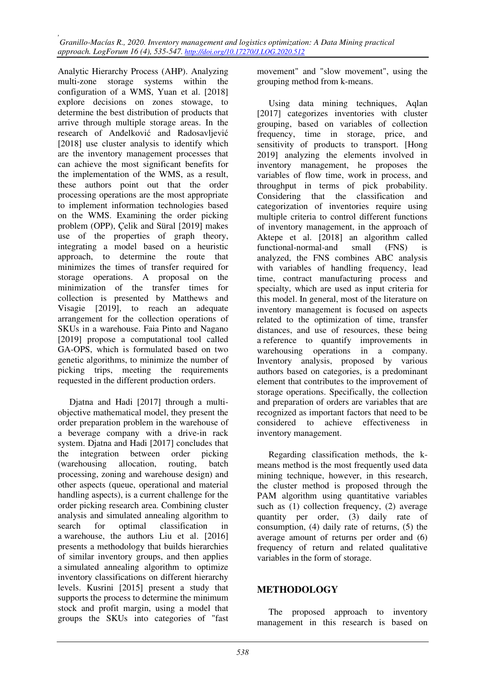Analytic Hierarchy Process (AHP). Analyzing multi-zone storage systems within the configuration of a WMS, Yuan et al. [2018] explore decisions on zones stowage, to determine the best distribution of products that arrive through multiple storage areas. In the research of Anđelković and Radosavljević [2018] use cluster analysis to identify which are the inventory management processes that can achieve the most significant benefits for the implementation of the WMS, as a result, these authors point out that the order processing operations are the most appropriate to implement information technologies based on the WMS. Examining the order picking problem (OPP), Çelik and Süral [2019] makes use of the properties of graph theory, integrating a model based on a heuristic approach, to determine the route that minimizes the times of transfer required for storage operations. A proposal on the minimization of the transfer times for collection is presented by Matthews and Visagie [2019], to reach an adequate arrangement for the collection operations of SKUs in a warehouse. Faia Pinto and Nagano [2019] propose a computational tool called GA-OPS, which is formulated based on two genetic algorithms, to minimize the number of picking trips, meeting the requirements requested in the different production orders.

Djatna and Hadi [2017] through a multiobjective mathematical model, they present the order preparation problem in the warehouse of a beverage company with a drive-in rack system. Diatna and Hadi [2017] concludes that the integration between order picking (warehousing allocation, routing, batch processing, zoning and warehouse design) and other aspects (queue, operational and material handling aspects), is a current challenge for the order picking research area. Combining cluster analysis and simulated annealing algorithm to search for optimal classification in a warehouse, the authors Liu et al. [2016] presents a methodology that builds hierarchies of similar inventory groups, and then applies a simulated annealing algorithm to optimize inventory classifications on different hierarchy levels. Kusrini [2015] present a study that supports the process to determine the minimum stock and profit margin, using a model that groups the SKUs into categories of "fast

movement" and "slow movement", using the grouping method from k-means.

Using data mining techniques, Aqlan [2017] categorizes inventories with cluster grouping, based on variables of collection frequency, time in storage, price, and sensitivity of products to transport. [Hong 2019] analyzing the elements involved in inventory management, he proposes the variables of flow time, work in process, and throughput in terms of pick probability. Considering that the classification and categorization of inventories require using multiple criteria to control different functions of inventory management, in the approach of Aktepe et al. [2018] an algorithm called functional-normal-and small (FNS) is analyzed, the FNS combines ABC analysis with variables of handling frequency, lead time, contract manufacturing process and specialty, which are used as input criteria for this model. In general, most of the literature on inventory management is focused on aspects related to the optimization of time, transfer distances, and use of resources, these being a reference to quantify improvements in warehousing operations in a company. Inventory analysis, proposed by various authors based on categories, is a predominant element that contributes to the improvement of storage operations. Specifically, the collection and preparation of orders are variables that are recognized as important factors that need to be considered to achieve effectiveness in inventory management.

Regarding classification methods, the kmeans method is the most frequently used data mining technique, however, in this research, the cluster method is proposed through the PAM algorithm using quantitative variables such as (1) collection frequency, (2) average quantity per order, (3) daily rate of consumption, (4) daily rate of returns, (5) the average amount of returns per order and (6) frequency of return and related qualitative variables in the form of storage.

### **METHODOLOGY**

The proposed approach to inventory management in this research is based on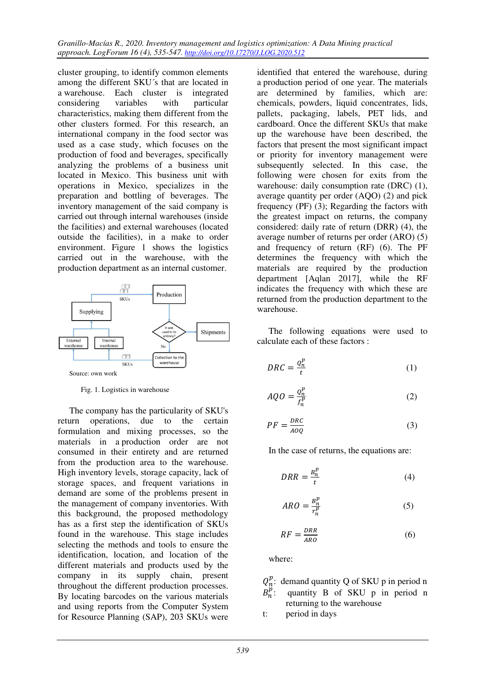cluster grouping, to identify common elements among the different SKU´s that are located in a warehouse. Each cluster is integrated considering variables with particular characteristics, making them different from the other clusters formed. For this research, an international company in the food sector was used as a case study, which focuses on the production of food and beverages, specifically analyzing the problems of a business unit located in Mexico. This business unit with operations in Mexico, specializes in the preparation and bottling of beverages. The inventory management of the said company is carried out through internal warehouses (inside the facilities) and external warehouses (located outside the facilities), in a make to order environment. Figure 1 shows the logistics carried out in the warehouse, with the production department as an internal customer.



Fig. 1. Logistics in warehouse

The company has the particularity of SKU's return operations, due to the certain formulation and mixing processes, so the materials in a production order are not consumed in their entirety and are returned from the production area to the warehouse. High inventory levels, storage capacity, lack of storage spaces, and frequent variations in demand are some of the problems present in the management of company inventories. With this background, the proposed methodology has as a first step the identification of SKUs found in the warehouse. This stage includes selecting the methods and tools to ensure the identification, location, and location of the different materials and products used by the company in its supply chain, present throughout the different production processes. By locating barcodes on the various materials and using reports from the Computer System for Resource Planning (SAP), 203 SKUs were

identified that entered the warehouse, during a production period of one year. The materials are determined by families, which are: chemicals, powders, liquid concentrates, lids, pallets, packaging, labels, PET lids, and cardboard. Once the different SKUs that make up the warehouse have been described, the factors that present the most significant impact or priority for inventory management were subsequently selected. In this case, the following were chosen for exits from the warehouse: daily consumption rate (DRC) (1), average quantity per order (AQO) (2) and pick frequency (PF) (3); Regarding the factors with the greatest impact on returns, the company considered: daily rate of return (DRR) (4), the average number of returns per order (ARO) (5) and frequency of return (RF) (6). The PF determines the frequency with which the materials are required by the production department [Aqlan 2017], while the RF indicates the frequency with which these are returned from the production department to the warehouse.

The following equations were used to calculate each of these factors :

$$
DRC = \frac{Q_n^p}{t} \tag{1}
$$

$$
AQO = \frac{Q_n^p}{f_n^p} \tag{2}
$$

$$
PF = \frac{DRC}{AOQ} \tag{3}
$$

In the case of returns, the equations are:

$$
DRR = \frac{B_n^p}{t} \tag{4}
$$

$$
ARO = \frac{B_n^p}{r_n^p} \tag{5}
$$

$$
RF = \frac{DRR}{ARO} \tag{6}
$$

where:

- $Q_n^P$  $_{n}^{p}$ : demand quantity Q of SKU p in period n  $B_n^p$ : quantity B of SKU p in period n returning to the warehouse
- t: period in days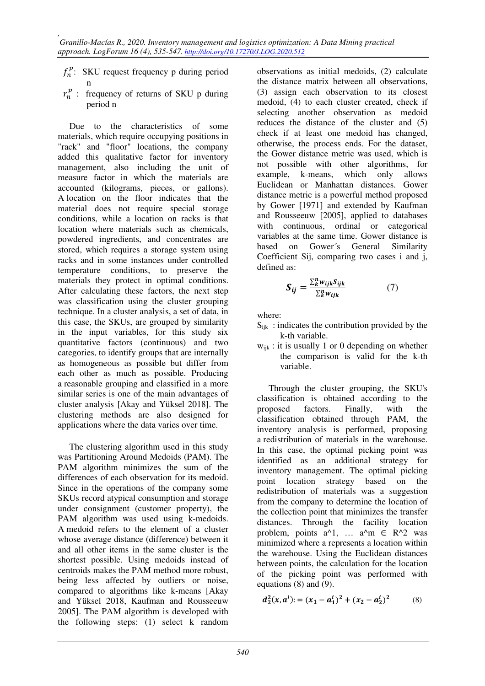- $f_n^p$ : SKU request frequency p during period n
- $r_n^p$ : frequency of returns of SKU p during period n

Due to the characteristics of some materials, which require occupying positions in "rack" and "floor" locations, the company added this qualitative factor for inventory management, also including the unit of measure factor in which the materials are accounted (kilograms, pieces, or gallons). A location on the floor indicates that the material does not require special storage conditions, while a location on racks is that location where materials such as chemicals, powdered ingredients, and concentrates are stored, which requires a storage system using racks and in some instances under controlled temperature conditions, to preserve the materials they protect in optimal conditions. After calculating these factors, the next step was classification using the cluster grouping technique. In a cluster analysis, a set of data, in this case, the SKUs, are grouped by similarity in the input variables, for this study six quantitative factors (continuous) and two categories, to identify groups that are internally as homogeneous as possible but differ from each other as much as possible. Producing a reasonable grouping and classified in a more similar series is one of the main advantages of cluster analysis [Akay and Yüksel 2018]. The clustering methods are also designed for applications where the data varies over time.

The clustering algorithm used in this study was Partitioning Around Medoids (PAM). The PAM algorithm minimizes the sum of the differences of each observation for its medoid. Since in the operations of the company some SKUs record atypical consumption and storage under consignment (customer property), the PAM algorithm was used using k-medoids. A medoid refers to the element of a cluster whose average distance (difference) between it and all other items in the same cluster is the shortest possible. Using medoids instead of centroids makes the PAM method more robust, being less affected by outliers or noise, compared to algorithms like k-means [Akay and Yüksel 2018, Kaufman and Rousseeuw 2005]. The PAM algorithm is developed with the following steps: (1) select k random

observations as initial medoids, (2) calculate the distance matrix between all observations, (3) assign each observation to its closest medoid, (4) to each cluster created, check if selecting another observation as medoid reduces the distance of the cluster and (5) check if at least one medoid has changed, otherwise, the process ends. For the dataset, the Gower distance metric was used, which is not possible with other algorithms, for example, k-means, which only allows Euclidean or Manhattan distances. Gower distance metric is a powerful method proposed by Gower [1971] and extended by Kaufman and Rousseeuw [2005], applied to databases with continuous, ordinal or categorical variables at the same time. Gower distance is based on Gower´s General Similarity Coefficient Sij, comparing two cases i and j, defined as:

$$
S_{ij} = \frac{\sum_{k}^{n} w_{ijk} S_{ijk}}{\sum_{k}^{n} w_{ijk}} \tag{7}
$$

where:

- $S_{ijk}$ : indicates the contribution provided by the k-th variable.
- $w_{ijk}$ : it is usually 1 or 0 depending on whether the comparison is valid for the k-th variable.

Through the cluster grouping, the SKU's classification is obtained according to the proposed factors. Finally, with the classification obtained through PAM, the inventory analysis is performed, proposing a redistribution of materials in the warehouse. In this case, the optimal picking point was identified as an additional strategy for inventory management. The optimal picking point location strategy based on the redistribution of materials was a suggestion from the company to determine the location of the collection point that minimizes the transfer distances. Through the facility location problem, points  $a^1$ , …  $a^2m \in R^2$  was minimized where a represents a location within the warehouse. Using the Euclidean distances between points, the calculation for the location of the picking point was performed with equations (8) and (9).

$$
d_2^2(x, a^i) = (x_1 - a_1^i)^2 + (x_2 - a_2^i)^2 \tag{8}
$$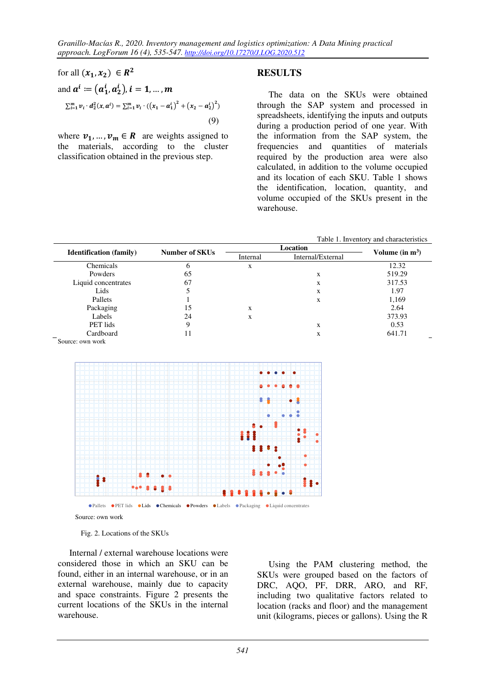for all 
$$
(x_1, x_2) \in R^2
$$
  
and  $a^i := (a_1^i, a_2^i), i = 1, ..., m$   

$$
\sum_{i=1}^m v_i \cdot d_2^2(x, a^i) = \sum_{i=1}^m v_i \cdot ((x_1 - a_1^i)^2 + (x_2 - a_2^i)^2)
$$
(9)

where  $v_1, ..., v_m \in R$  are weights assigned to the materials, according to the cluster classification obtained in the previous step.

### **RESULTS**

The data on the SKUs were obtained through the SAP system and processed in spreadsheets, identifying the inputs and outputs during a production period of one year. With the information from the SAP system, the frequencies and quantities of materials required by the production area were also calculated, in addition to the volume occupied and its location of each SKU. Table 1 shows the identification, location, quantity, and volume occupied of the SKUs present in the warehouse.

Table 1. Inventory and characteristics

| <b>Identification</b> (family) | <b>Number of SKUs</b> | Internal | Internal/External | Volume (in $m^3$ ) |
|--------------------------------|-----------------------|----------|-------------------|--------------------|
| Chemicals                      |                       | X        |                   | 12.32              |
| Powders                        | 65                    |          | X                 | 519.29             |
| Liquid concentrates            | 67                    |          | X                 | 317.53             |
| Lids                           |                       |          | X                 | 1.97               |
| Pallets                        |                       |          | X                 | 1,169              |
| Packaging                      | 15                    | X        |                   | 2.64               |
| Labels                         | 24                    | X        |                   | 373.93             |
| PET lids                       | 9                     |          | X                 | 0.53               |
| Cardboard                      | 11                    |          | X                 | 641.71             |
| Source: own work               |                       |          |                   |                    |



Source: own work

Fig. 2. Locations of the SKUs

Internal / external warehouse locations were considered those in which an SKU can be found, either in an internal warehouse, or in an external warehouse, mainly due to capacity and space constraints. Figure 2 presents the current locations of the SKUs in the internal warehouse.

Using the PAM clustering method, the SKUs were grouped based on the factors of DRC, AQO, PF, DRR, ARO, and RF, including two qualitative factors related to location (racks and floor) and the management unit (kilograms, pieces or gallons). Using the R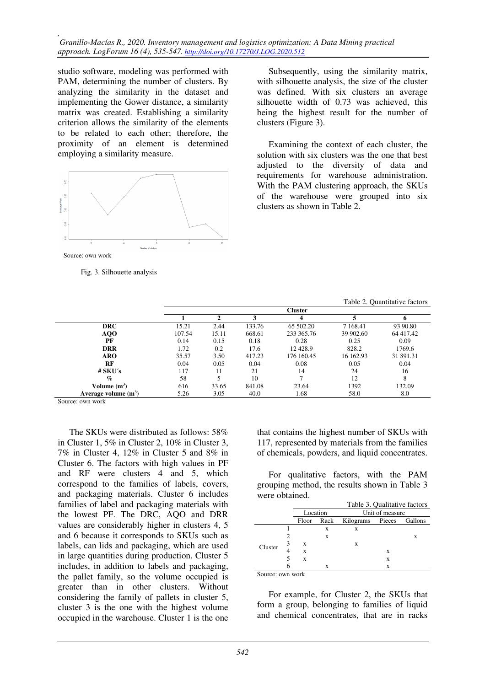*, Granillo-Macías R., 2020. Inventory management and logistics optimization: A Data Mining practical approach. LogForum 16 (4), 535-547. http://doi.org/10.17270/J.LOG.2020.512* 

studio software, modeling was performed with PAM, determining the number of clusters. By analyzing the similarity in the dataset and implementing the Gower distance, a similarity matrix was created. Establishing a similarity criterion allows the similarity of the elements to be related to each other; therefore, the proximity of an element is determined employing a similarity measure.



Source: own work

Fig. 3. Silhouette analysis

Subsequently, using the similarity matrix, with silhouette analysis, the size of the cluster was defined. With six clusters an average silhouette width of 0.73 was achieved, this being the highest result for the number of clusters (Figure 3).

Examining the context of each cluster, the solution with six clusters was the one that best adjusted to the diversity of data and requirements for warehouse administration. With the PAM clustering approach, the SKUs of the warehouse were grouped into six clusters as shown in Table 2.

Table 2. Quantitative factors

|                        | Table 2. Ouantitative factors |       |        |            |           |           |  |
|------------------------|-------------------------------|-------|--------|------------|-----------|-----------|--|
|                        | <b>Cluster</b>                |       |        |            |           |           |  |
|                        |                               |       |        |            |           |           |  |
| <b>DRC</b>             | 15.21                         | 2.44  | 133.76 | 65 502.20  | 7 1 68.41 | 93 90.80  |  |
| AQO                    | 107.54                        | 15.11 | 668.61 | 233 365.76 | 39 902.60 | 64 417.42 |  |
| PF                     | 0.14                          | 0.15  | 0.18   | 0.28       | 0.25      | 0.09      |  |
| <b>DRR</b>             | 1.72                          | 0.2   | 17.6   | 12428.9    | 828.2     | 1769.6    |  |
| <b>ARO</b>             | 35.57                         | 3.50  | 417.23 | 176 160.45 | 16 162.93 | 31 891.31 |  |
| RF                     | 0.04                          | 0.05  | 0.04   | 0.08       | 0.05      | 0.04      |  |
| $#$ SKU's              | 117                           | 11    | 21     | 14         | 24        | 16        |  |
| $\mathcal{O}_0$        | 58                            |       | 10     |            | 12        | 8         |  |
| Volume $(m^3)$         | 616                           | 33.65 | 841.08 | 23.64      | 1392      | 132.09    |  |
| Average volume $(m^3)$ | 5.26                          | 3.05  | 40.0   | 1.68       | 58.0      | 8.0       |  |

Source: own work

The SKUs were distributed as follows: 58% in Cluster 1, 5% in Cluster 2, 10% in Cluster 3, 7% in Cluster 4, 12% in Cluster 5 and 8% in Cluster 6. The factors with high values in PF and RF were clusters 4 and 5, which correspond to the families of labels, covers, and packaging materials. Cluster 6 includes families of label and packaging materials with the lowest PF. The DRC, AQO and DRR values are considerably higher in clusters 4, 5 and 6 because it corresponds to SKUs such as labels, can lids and packaging, which are used in large quantities during production. Cluster 5 includes, in addition to labels and packaging, the pallet family, so the volume occupied is greater than in other clusters. Without considering the family of pallets in cluster 5, cluster 3 is the one with the highest volume occupied in the warehouse. Cluster 1 is the one

that contains the highest number of SKUs with 117, represented by materials from the families of chemicals, powders, and liquid concentrates.

For qualitative factors, with the PAM grouping method, the results shown in Table 3 were obtained.

|                  | Table 3. Qualitative factors |      |                          |   |   |  |
|------------------|------------------------------|------|--------------------------|---|---|--|
|                  | Location                     |      | Unit of measure          |   |   |  |
|                  | Floor                        | Rack | Kilograms Pieces Gallons |   |   |  |
| Cluster          |                              | X    | X                        |   |   |  |
|                  |                              | X    |                          |   | х |  |
|                  | X                            |      | X                        |   |   |  |
|                  | X                            |      |                          | x |   |  |
|                  | X                            |      |                          | х |   |  |
|                  |                              | x    |                          | х |   |  |
| Source: own work |                              |      |                          |   |   |  |

For example, for Cluster 2, the SKUs that form a group, belonging to families of liquid and chemical concentrates, that are in racks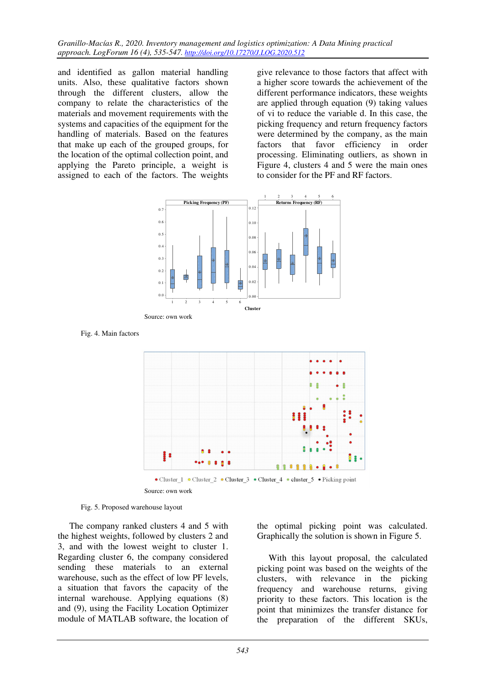*Granillo-Macías R., 2020. Inventory management and logistics optimization: A Data Mining practical approach. LogForum 16 (4), 535-547. http://doi.org/10.17270/J.LOG.2020.512* 

and identified as gallon material handling units. Also, these qualitative factors shown through the different clusters, allow the company to relate the characteristics of the materials and movement requirements with the systems and capacities of the equipment for the handling of materials. Based on the features that make up each of the grouped groups, for the location of the optimal collection point, and applying the Pareto principle, a weight is assigned to each of the factors. The weights

give relevance to those factors that affect with a higher score towards the achievement of the different performance indicators, these weights are applied through equation (9) taking values of vi to reduce the variable d. In this case, the picking frequency and return frequency factors were determined by the company, as the main factors that favor efficiency in order processing. Eliminating outliers, as shown in Figure 4, clusters 4 and 5 were the main ones to consider for the PF and RF factors.



Fig. 4. Main factors



Source: own work



The company ranked clusters 4 and 5 with the highest weights, followed by clusters 2 and 3, and with the lowest weight to cluster 1. Regarding cluster 6, the company considered sending these materials to an external warehouse, such as the effect of low PF levels, a situation that favors the capacity of the internal warehouse. Applying equations (8) and (9), using the Facility Location Optimizer module of MATLAB software, the location of

the optimal picking point was calculated. Graphically the solution is shown in Figure 5.

With this layout proposal, the calculated picking point was based on the weights of the clusters, with relevance in the picking frequency and warehouse returns, giving priority to these factors. This location is the point that minimizes the transfer distance for the preparation of the different SKUs,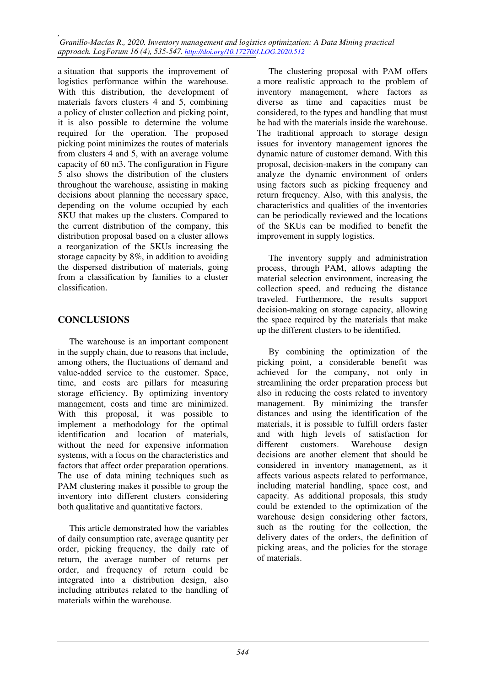*, Granillo-Macías R., 2020. Inventory management and logistics optimization: A Data Mining practical approach. LogForum 16 (4), 535-547. http://doi.org/10.17270/J.LOG.2020.512* 

a situation that supports the improvement of logistics performance within the warehouse. With this distribution, the development of materials favors clusters 4 and 5, combining a policy of cluster collection and picking point, it is also possible to determine the volume required for the operation. The proposed picking point minimizes the routes of materials from clusters 4 and 5, with an average volume capacity of 60 m3. The configuration in Figure 5 also shows the distribution of the clusters throughout the warehouse, assisting in making decisions about planning the necessary space, depending on the volume occupied by each SKU that makes up the clusters. Compared to the current distribution of the company, this distribution proposal based on a cluster allows a reorganization of the SKUs increasing the storage capacity by 8%, in addition to avoiding the dispersed distribution of materials, going from a classification by families to a cluster classification.

# **CONCLUSIONS**

The warehouse is an important component in the supply chain, due to reasons that include, among others, the fluctuations of demand and value-added service to the customer. Space, time, and costs are pillars for measuring storage efficiency. By optimizing inventory management, costs and time are minimized. With this proposal, it was possible to implement a methodology for the optimal identification and location of materials, without the need for expensive information systems, with a focus on the characteristics and factors that affect order preparation operations. The use of data mining techniques such as PAM clustering makes it possible to group the inventory into different clusters considering both qualitative and quantitative factors.

This article demonstrated how the variables of daily consumption rate, average quantity per order, picking frequency, the daily rate of return, the average number of returns per order, and frequency of return could be integrated into a distribution design, also including attributes related to the handling of materials within the warehouse.

The clustering proposal with PAM offers a more realistic approach to the problem of inventory management, where factors as diverse as time and capacities must be considered, to the types and handling that must be had with the materials inside the warehouse. The traditional approach to storage design issues for inventory management ignores the dynamic nature of customer demand. With this proposal, decision-makers in the company can analyze the dynamic environment of orders using factors such as picking frequency and return frequency. Also, with this analysis, the characteristics and qualities of the inventories can be periodically reviewed and the locations of the SKUs can be modified to benefit the improvement in supply logistics.

The inventory supply and administration process, through PAM, allows adapting the material selection environment, increasing the collection speed, and reducing the distance traveled. Furthermore, the results support decision-making on storage capacity, allowing the space required by the materials that make up the different clusters to be identified.

By combining the optimization of the picking point, a considerable benefit was achieved for the company, not only in streamlining the order preparation process but also in reducing the costs related to inventory management. By minimizing the transfer distances and using the identification of the materials, it is possible to fulfill orders faster and with high levels of satisfaction for different customers. Warehouse design decisions are another element that should be considered in inventory management, as it affects various aspects related to performance, including material handling, space cost, and capacity. As additional proposals, this study could be extended to the optimization of the warehouse design considering other factors, such as the routing for the collection, the delivery dates of the orders, the definition of picking areas, and the policies for the storage of materials.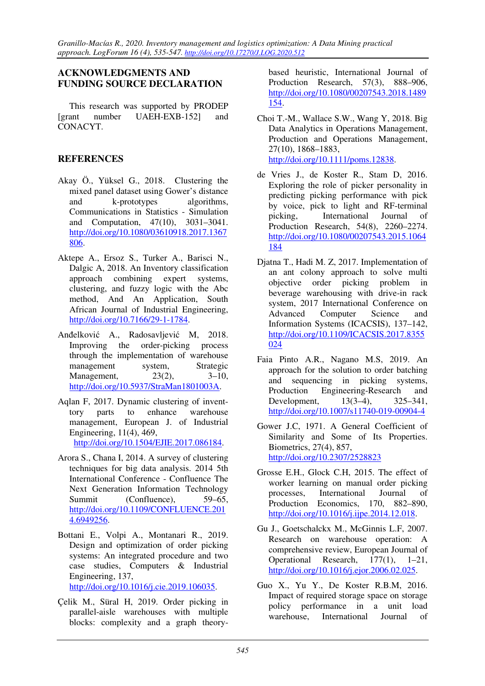## **ACKNOWLEDGMENTS AND FUNDING SOURCE DECLARATION**

This research was supported by PRODEP [grant number UAEH-EXB-152] and CONACYT.

### **REFERENCES**

- Akay Ö., Yüksel G., 2018. Clustering the mixed panel dataset using Gower's distance and k-prototypes algorithms, Communications in Statistics - Simulation and Computation, 47(10), 3031–3041. http://doi.org/10.1080/03610918.2017.1367 806.
- Aktepe A., Ersoz S., Turker A., Barisci N., Dalgic A, 2018. An Inventory classification approach combining expert systems, clustering, and fuzzy logic with the Abc method, And An Application, South African Journal of Industrial Engineering, http://doi.org/10.7166/29-1-1784.
- Anđelković A., Radosavljević M, 2018. Improving the order-picking process through the implementation of warehouse management system, Strategic Management, 23(2), 3–10, http://doi.org/10.5937/StraMan1801003A.
- Aqlan F, 2017. Dynamic clustering of inventtory parts to enhance warehouse management, European J. of Industrial Engineering, 11(4), 469, http://doi.org/10.1504/EJIE.2017.086184.
- Arora S., Chana I, 2014. A survey of clustering techniques for big data analysis. 2014 5th International Conference - Confluence The Next Generation Information Technology Summit (Confluence), 59–65, http://doi.org/10.1109/CONFLUENCE.201 4.6949256.
- Bottani E., Volpi A., Montanari R., 2019. Design and optimization of order picking systems: An integrated procedure and two case studies, Computers & Industrial Engineering, 137, http://doi.org/10.1016/j.cie.2019.106035.
- Çelik M., Süral H, 2019. Order picking in parallel-aisle warehouses with multiple blocks: complexity and a graph theory-

based heuristic, International Journal of Production Research, 57(3), 888–906, http://doi.org/10.1080/00207543.2018.1489 154.

- Choi T.-M., Wallace S.W., Wang Y, 2018. Big Data Analytics in Operations Management, Production and Operations Management, 27(10), 1868–1883, http://doi.org/10.1111/poms.12838.
- de Vries J., de Koster R., Stam D, 2016. Exploring the role of picker personality in predicting picking performance with pick by voice, pick to light and RF-terminal picking, International Journal of Production Research, 54(8), 2260–2274. http://doi.org/10.1080/00207543.2015.1064 184
- Djatna T., Hadi M. Z, 2017. Implementation of an ant colony approach to solve multi objective order picking problem in beverage warehousing with drive-in rack system, 2017 International Conference on Advanced Computer Science and Information Systems (ICACSIS), 137–142, http://doi.org/10.1109/ICACSIS.2017.8355 024
- Faia Pinto A.R., Nagano M.S, 2019. An approach for the solution to order batching and sequencing in picking systems, Production Engineering-Research and Development, 13(3–4), 325–341, http://doi.org/10.1007/s11740-019-00904-4
- Gower J.C, 1971. A General Coefficient of Similarity and Some of Its Properties. Biometrics, 27(4), 857, http://doi.org/10.2307/2528823
- Grosse E.H., Glock C.H, 2015. The effect of worker learning on manual order picking processes, International Journal of Production Economics, 170, 882–890, http://doi.org/10.1016/j.ijpe.2014.12.018.
- Gu J., Goetschalckx M., McGinnis L.F, 2007. Research on warehouse operation: A comprehensive review, European Journal of Operational Research, 177(1), 1–21, http://doi.org/10.1016/j.ejor.2006.02.025.
- Guo X., Yu Y., De Koster R.B.M, 2016. Impact of required storage space on storage policy performance in a unit load warehouse, International Journal of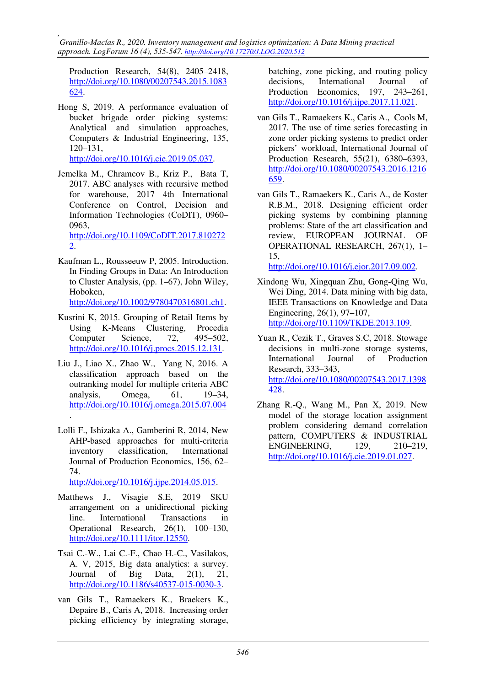*, Granillo-Macías R., 2020. Inventory management and logistics optimization: A Data Mining practical approach. LogForum 16 (4), 535-547. http://doi.org/10.17270/J.LOG.2020.512* 

Production Research, 54(8), 2405–2418, http://doi.org/10.1080/00207543.2015.1083 624.

- Hong S, 2019. A performance evaluation of bucket brigade order picking systems: Analytical and simulation approaches, Computers & Industrial Engineering, 135, 120–131, http://doi.org/10.1016/j.cie.2019.05.037.
- Jemelka M., Chramcov B., Kriz P., Bata T, 2017. ABC analyses with recursive method for warehouse, 2017 4th International Conference on Control, Decision and Information Technologies (CoDIT), 0960– 0963, http://doi.org/10.1109/CoDIT.2017.810272 2.

Kaufman L., Rousseeuw P, 2005. Introduction. In Finding Groups in Data: An Introduction to Cluster Analysis, (pp. 1–67), John Wiley, Hoboken,

http://doi.org/10.1002/9780470316801.ch1.

- Kusrini K, 2015. Grouping of Retail Items by Using K-Means Clustering, Procedia Computer Science, 72, 495–502, http://doi.org/10.1016/j.procs.2015.12.131.
- Liu J., Liao X., Zhao W., Yang N, 2016. A classification approach based on the outranking model for multiple criteria ABC analysis, Omega, 61, 19–34, http://doi.org/10.1016/j.omega.2015.07.004 .
- Lolli F., Ishizaka A., Gamberini R, 2014, New AHP-based approaches for multi-criteria inventory classification, International Journal of Production Economics, 156, 62– 74.

http://doi.org/10.1016/j.ijpe.2014.05.015.

- Matthews J., Visagie S.E, 2019 SKU arrangement on a unidirectional picking line. International Transactions in Operational Research, 26(1), 100–130, http://doi.org/10.1111/itor.12550.
- Tsai C.-W., Lai C.-F., Chao H.-C., Vasilakos, A. V, 2015, Big data analytics: a survey. Journal of Big Data, 2(1), 21, http://doi.org/10.1186/s40537-015-0030-3.
- van Gils T., Ramaekers K., Braekers K., Depaire B., Caris A, 2018. Increasing order picking efficiency by integrating storage,

batching, zone picking, and routing policy decisions, International Journal of Production Economics, 197, 243–261, http://doi.org/10.1016/j.ijpe.2017.11.021.

- van Gils T., Ramaekers K., Caris A., Cools M, 2017. The use of time series forecasting in zone order picking systems to predict order pickers' workload, International Journal of Production Research, 55(21), 6380–6393, http://doi.org/10.1080/00207543.2016.1216 659.
- van Gils T., Ramaekers K., Caris A., de Koster R.B.M., 2018. Designing efficient order picking systems by combining planning problems: State of the art classification and review, EUROPEAN JOURNAL OF OPERATIONAL RESEARCH, 267(1), 1– 15,

http://doi.org/10.1016/j.ejor.2017.09.002.

- Xindong Wu, Xingquan Zhu, Gong-Qing Wu, Wei Ding, 2014. Data mining with big data, IEEE Transactions on Knowledge and Data Engineering, 26(1), 97–107, http://doi.org/10.1109/TKDE.2013.109.
- Yuan R., Cezik T., Graves S.C, 2018. Stowage decisions in multi-zone storage systems, International Journal of Production Research, 333–343, http://doi.org/10.1080/00207543.2017.1398 428.
- Zhang R.-Q., Wang M., Pan X, 2019. New model of the storage location assignment problem considering demand correlation pattern, COMPUTERS & INDUSTRIAL ENGINEERING, 129, 210–219, http://doi.org/10.1016/j.cie.2019.01.027.